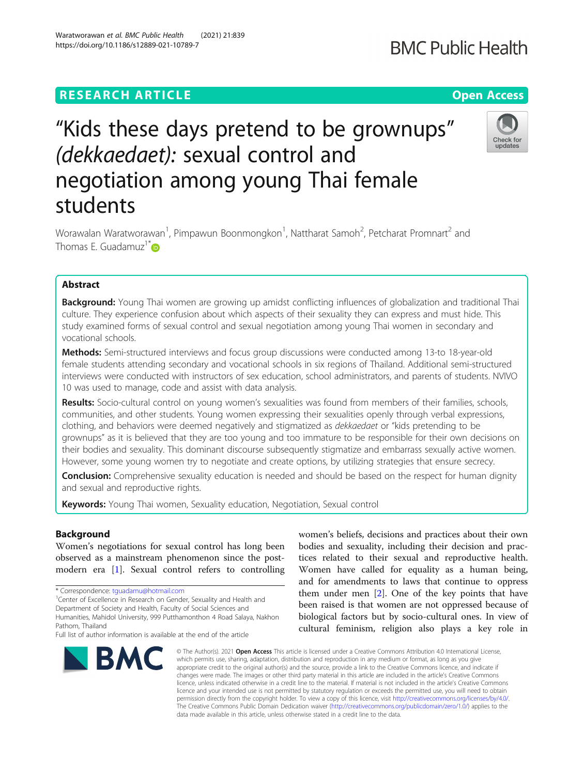## **RESEARCH ARTICLE Example 2014 12:30 The Contract of Contract ACCESS**

# "Kids these days pretend to be grownups" (dekkaedaet): sexual control and negotiation among young Thai female students

Worawalan Waratworawan<sup>1</sup>, Pimpawun Boonmongkon<sup>1</sup>, Nattharat Samoh<sup>2</sup>, Petcharat Promnart<sup>2</sup> and Thomas E. Guadamuz<sup>1[\\*](http://orcid.org/0000-0001-6803-1127)</sup>

### Abstract

Background: Young Thai women are growing up amidst conflicting influences of globalization and traditional Thai culture. They experience confusion about which aspects of their sexuality they can express and must hide. This study examined forms of sexual control and sexual negotiation among young Thai women in secondary and vocational schools.

Methods: Semi-structured interviews and focus group discussions were conducted among 13-to 18-year-old female students attending secondary and vocational schools in six regions of Thailand. Additional semi-structured interviews were conducted with instructors of sex education, school administrators, and parents of students. NVIVO 10 was used to manage, code and assist with data analysis.

Results: Socio-cultural control on young women's sexualities was found from members of their families, schools, communities, and other students. Young women expressing their sexualities openly through verbal expressions, clothing, and behaviors were deemed negatively and stigmatized as dekkaedaet or "kids pretending to be grownups" as it is believed that they are too young and too immature to be responsible for their own decisions on their bodies and sexuality. This dominant discourse subsequently stigmatize and embarrass sexually active women. However, some young women try to negotiate and create options, by utilizing strategies that ensure secrecy.

**Conclusion:** Comprehensive sexuality education is needed and should be based on the respect for human dignity and sexual and reproductive rights.

Keywords: Young Thai women, Sexuality education, Negotiation, Sexual control

#### Background

Women's negotiations for sexual control has long been observed as a mainstream phenomenon since the postmodern era [[1\]](#page-11-0). Sexual control refers to controlling

\* Correspondence: [tguadamu@hotmail.com](mailto:tguadamu@hotmail.com) <sup>1</sup>

<sup>1</sup> Center of Excellence in Research on Gender, Sexuality and Health and Department of Society and Health, Faculty of Social Sciences and

Humanities, Mahidol University, 999 Putthamonthon 4 Road Salaya, Nakhon Pathom, Thailand

## women's beliefs, decisions and practices about their own bodies and sexuality, including their decision and practices related to their sexual and reproductive health. Women have called for equality as a human being, and for amendments to laws that continue to oppress them under men [[2\]](#page-11-0). One of the key points that have been raised is that women are not oppressed because of biological factors but by socio-cultural ones. In view of cultural feminism, religion also plays a key role in

© The Author(s). 2021 Open Access This article is licensed under a Creative Commons Attribution 4.0 International License, which permits use, sharing, adaptation, distribution and reproduction in any medium or format, as long as you give appropriate credit to the original author(s) and the source, provide a link to the Creative Commons licence, and indicate if changes were made. The images or other third party material in this article are included in the article's Creative Commons licence, unless indicated otherwise in a credit line to the material. If material is not included in the article's Creative Commons licence and your intended use is not permitted by statutory regulation or exceeds the permitted use, you will need to obtain permission directly from the copyright holder. To view a copy of this licence, visit [http://creativecommons.org/licenses/by/4.0/.](http://creativecommons.org/licenses/by/4.0/) The Creative Commons Public Domain Dedication waiver [\(http://creativecommons.org/publicdomain/zero/1.0/](http://creativecommons.org/publicdomain/zero/1.0/)) applies to the data made available in this article, unless otherwise stated in a credit line to the data.







Full list of author information is available at the end of the article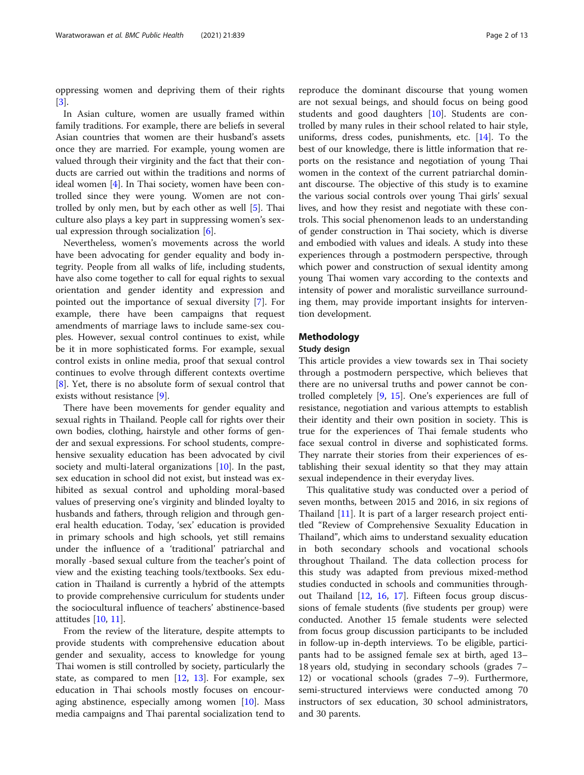oppressing women and depriving them of their rights [[3\]](#page-11-0).

In Asian culture, women are usually framed within family traditions. For example, there are beliefs in several Asian countries that women are their husband's assets once they are married. For example, young women are valued through their virginity and the fact that their conducts are carried out within the traditions and norms of ideal women [\[4\]](#page-11-0). In Thai society, women have been controlled since they were young. Women are not controlled by only men, but by each other as well [[5\]](#page-11-0). Thai culture also plays a key part in suppressing women's sexual expression through socialization [[6\]](#page-11-0).

Nevertheless, women's movements across the world have been advocating for gender equality and body integrity. People from all walks of life, including students, have also come together to call for equal rights to sexual orientation and gender identity and expression and pointed out the importance of sexual diversity [\[7\]](#page-11-0). For example, there have been campaigns that request amendments of marriage laws to include same-sex couples. However, sexual control continues to exist, while be it in more sophisticated forms. For example, sexual control exists in online media, proof that sexual control continues to evolve through different contexts overtime [[8\]](#page-11-0). Yet, there is no absolute form of sexual control that exists without resistance [[9\]](#page-11-0).

There have been movements for gender equality and sexual rights in Thailand. People call for rights over their own bodies, clothing, hairstyle and other forms of gender and sexual expressions. For school students, comprehensive sexuality education has been advocated by civil society and multi-lateral organizations [\[10](#page-11-0)]. In the past, sex education in school did not exist, but instead was exhibited as sexual control and upholding moral-based values of preserving one's virginity and blinded loyalty to husbands and fathers, through religion and through general health education. Today, 'sex' education is provided in primary schools and high schools, yet still remains under the influence of a 'traditional' patriarchal and morally -based sexual culture from the teacher's point of view and the existing teaching tools/textbooks. Sex education in Thailand is currently a hybrid of the attempts to provide comprehensive curriculum for students under the sociocultural influence of teachers' abstinence-based attitudes [[10,](#page-11-0) [11\]](#page-11-0).

From the review of the literature, despite attempts to provide students with comprehensive education about gender and sexuality, access to knowledge for young Thai women is still controlled by society, particularly the state, as compared to men [[12](#page-11-0), [13](#page-11-0)]. For example, sex education in Thai schools mostly focuses on encouraging abstinence, especially among women [\[10\]](#page-11-0). Mass media campaigns and Thai parental socialization tend to

reproduce the dominant discourse that young women are not sexual beings, and should focus on being good students and good daughters [[10\]](#page-11-0). Students are controlled by many rules in their school related to hair style, uniforms, dress codes, punishments, etc. [\[14](#page-11-0)]. To the best of our knowledge, there is little information that reports on the resistance and negotiation of young Thai women in the context of the current patriarchal dominant discourse. The objective of this study is to examine the various social controls over young Thai girls' sexual lives, and how they resist and negotiate with these controls. This social phenomenon leads to an understanding of gender construction in Thai society, which is diverse and embodied with values and ideals. A study into these experiences through a postmodern perspective, through which power and construction of sexual identity among young Thai women vary according to the contexts and intensity of power and moralistic surveillance surrounding them, may provide important insights for intervention development.

#### Methodology

#### Study design

This article provides a view towards sex in Thai society through a postmodern perspective, which believes that there are no universal truths and power cannot be controlled completely [\[9](#page-11-0), [15](#page-11-0)]. One's experiences are full of resistance, negotiation and various attempts to establish their identity and their own position in society. This is true for the experiences of Thai female students who face sexual control in diverse and sophisticated forms. They narrate their stories from their experiences of establishing their sexual identity so that they may attain sexual independence in their everyday lives.

This qualitative study was conducted over a period of seven months, between 2015 and 2016, in six regions of Thailand [[11](#page-11-0)]. It is part of a larger research project entitled "Review of Comprehensive Sexuality Education in Thailand", which aims to understand sexuality education in both secondary schools and vocational schools throughout Thailand. The data collection process for this study was adapted from previous mixed-method studies conducted in schools and communities throughout Thailand [[12,](#page-11-0) [16,](#page-11-0) [17](#page-11-0)]. Fifteen focus group discussions of female students (five students per group) were conducted. Another 15 female students were selected from focus group discussion participants to be included in follow-up in-depth interviews. To be eligible, participants had to be assigned female sex at birth, aged 13– 18 years old, studying in secondary schools (grades 7– 12) or vocational schools (grades 7–9). Furthermore, semi-structured interviews were conducted among 70 instructors of sex education, 30 school administrators, and 30 parents.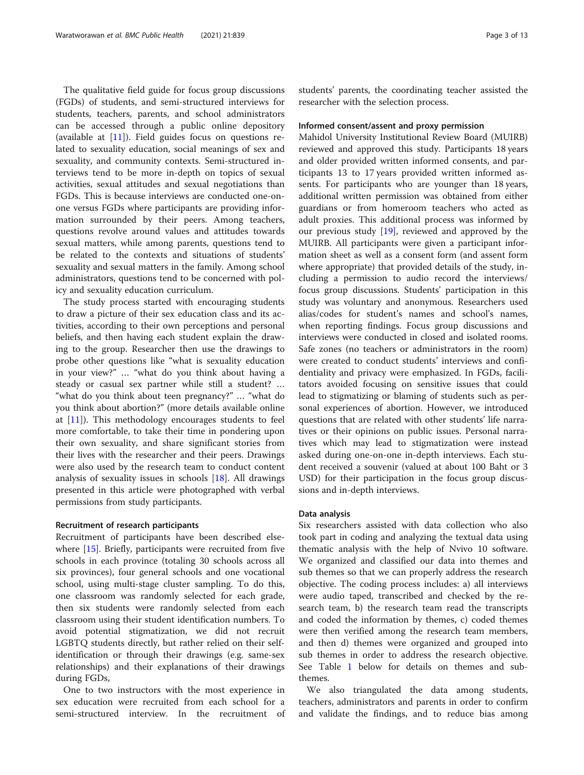The qualitative field guide for focus group discussions (FGDs) of students, and semi-structured interviews for students, teachers, parents, and school administrators can be accessed through a public online depository (available at [\[11\]](#page-11-0)). Field guides focus on questions related to sexuality education, social meanings of sex and sexuality, and community contexts. Semi-structured interviews tend to be more in-depth on topics of sexual activities, sexual attitudes and sexual negotiations than FGDs. This is because interviews are conducted one-onone versus FGDs where participants are providing information surrounded by their peers. Among teachers, questions revolve around values and attitudes towards sexual matters, while among parents, questions tend to be related to the contexts and situations of students' sexuality and sexual matters in the family. Among school administrators, questions tend to be concerned with policy and sexuality education curriculum.

The study process started with encouraging students to draw a picture of their sex education class and its activities, according to their own perceptions and personal beliefs, and then having each student explain the drawing to the group. Researcher then use the drawings to probe other questions like "what is sexuality education in your view?"…"what do you think about having a steady or casual sex partner while still a student? … "what do you think about teen pregnancy?"…"what do you think about abortion?" (more details available online at [[11\]](#page-11-0)). This methodology encourages students to feel more comfortable, to take their time in pondering upon their own sexuality, and share significant stories from their lives with the researcher and their peers. Drawings were also used by the research team to conduct content analysis of sexuality issues in schools [\[18\]](#page-11-0). All drawings presented in this article were photographed with verbal permissions from study participants.

#### Recruitment of research participants

Recruitment of participants have been described elsewhere [[15\]](#page-11-0). Briefly, participants were recruited from five schools in each province (totaling 30 schools across all six provinces), four general schools and one vocational school, using multi-stage cluster sampling. To do this, one classroom was randomly selected for each grade, then six students were randomly selected from each classroom using their student identification numbers. To avoid potential stigmatization, we did not recruit LGBTQ students directly, but rather relied on their selfidentification or through their drawings (e.g. same-sex relationships) and their explanations of their drawings during FGDs,

One to two instructors with the most experience in sex education were recruited from each school for a semi-structured interview. In the recruitment of students' parents, the coordinating teacher assisted the researcher with the selection process.

#### Informed consent/assent and proxy permission

Mahidol University Institutional Review Board (MUIRB) reviewed and approved this study. Participants 18 years and older provided written informed consents, and participants 13 to 17 years provided written informed assents. For participants who are younger than 18 years, additional written permission was obtained from either guardians or from homeroom teachers who acted as adult proxies. This additional process was informed by our previous study  $[19]$ , reviewed and approved by the MUIRB. All participants were given a participant information sheet as well as a consent form (and assent form where appropriate) that provided details of the study, including a permission to audio record the interviews/ focus group discussions. Students' participation in this study was voluntary and anonymous. Researchers used alias/codes for student's names and school's names, when reporting findings. Focus group discussions and interviews were conducted in closed and isolated rooms. Safe zones (no teachers or administrators in the room) were created to conduct students' interviews and confidentiality and privacy were emphasized. In FGDs, facilitators avoided focusing on sensitive issues that could lead to stigmatizing or blaming of students such as personal experiences of abortion. However, we introduced questions that are related with other students' life narratives or their opinions on public issues. Personal narratives which may lead to stigmatization were instead asked during one-on-one in-depth interviews. Each student received a souvenir (valued at about 100 Baht or 3 USD) for their participation in the focus group discussions and in-depth interviews.

#### Data analysis

Six researchers assisted with data collection who also took part in coding and analyzing the textual data using thematic analysis with the help of Nvivo 10 software. We organized and classified our data into themes and sub themes so that we can properly address the research objective. The coding process includes: a) all interviews were audio taped, transcribed and checked by the research team, b) the research team read the transcripts and coded the information by themes, c) coded themes were then verified among the research team members, and then d) themes were organized and grouped into sub themes in order to address the research objective. See Table [1](#page-3-0) below for details on themes and subthemes.

We also triangulated the data among students, teachers, administrators and parents in order to confirm and validate the findings, and to reduce bias among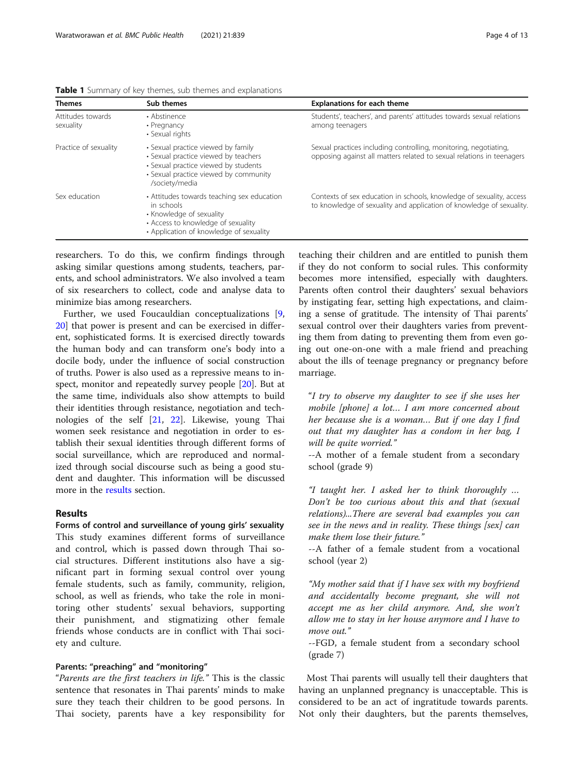| <b>Themes</b>                  | Sub themes                                                                                                                                                                    | <b>Explanations for each theme</b>                                                                                                           |
|--------------------------------|-------------------------------------------------------------------------------------------------------------------------------------------------------------------------------|----------------------------------------------------------------------------------------------------------------------------------------------|
| Attitudes towards<br>sexuality | • Abstinence<br>• Pregnancy<br>• Sexual rights                                                                                                                                | Students', teachers', and parents' attitudes towards sexual relations<br>among teenagers                                                     |
| Practice of sexuality          | • Sexual practice viewed by family<br>• Sexual practice viewed by teachers<br>• Sexual practice viewed by students<br>• Sexual practice viewed by community<br>/society/media | Sexual practices including controlling, monitoring, negotiating,<br>opposing against all matters related to sexual relations in teenagers    |
| Sex education                  | • Attitudes towards teaching sex education<br>in schools<br>• Knowledge of sexuality<br>• Access to knowledge of sexuality<br>• Application of knowledge of sexuality         | Contexts of sex education in schools, knowledge of sexuality, access<br>to knowledge of sexuality and application of knowledge of sexuality. |

<span id="page-3-0"></span>Table 1 Summary of key themes, sub themes and explanations

researchers. To do this, we confirm findings through asking similar questions among students, teachers, parents, and school administrators. We also involved a team of six researchers to collect, code and analyse data to minimize bias among researchers.

Further, we used Foucauldian conceptualizations [[9](#page-11-0), [20\]](#page-11-0) that power is present and can be exercised in different, sophisticated forms. It is exercised directly towards the human body and can transform one's body into a docile body, under the influence of social construction of truths. Power is also used as a repressive means to inspect, monitor and repeatedly survey people [[20](#page-11-0)]. But at the same time, individuals also show attempts to build their identities through resistance, negotiation and technologies of the self [\[21](#page-11-0), [22\]](#page-11-0). Likewise, young Thai women seek resistance and negotiation in order to establish their sexual identities through different forms of social surveillance, which are reproduced and normalized through social discourse such as being a good student and daughter. This information will be discussed more in the results section.

#### Results

Forms of control and surveillance of young girls' sexuality This study examines different forms of surveillance and control, which is passed down through Thai social structures. Different institutions also have a significant part in forming sexual control over young female students, such as family, community, religion, school, as well as friends, who take the role in monitoring other students' sexual behaviors, supporting their punishment, and stigmatizing other female friends whose conducts are in conflict with Thai society and culture.

#### Parents: "preaching" and "monitoring"

"Parents are the first teachers in life." This is the classic sentence that resonates in Thai parents' minds to make sure they teach their children to be good persons. In Thai society, parents have a key responsibility for

teaching their children and are entitled to punish them if they do not conform to social rules. This conformity becomes more intensified, especially with daughters. Parents often control their daughters' sexual behaviors by instigating fear, setting high expectations, and claiming a sense of gratitude. The intensity of Thai parents' sexual control over their daughters varies from preventing them from dating to preventing them from even going out one-on-one with a male friend and preaching about the ills of teenage pregnancy or pregnancy before marriage.

"I try to observe my daughter to see if she uses her mobile [phone] a lot… I am more concerned about her because she is a woman… But if one day I find out that my daughter has a condom in her bag, I will be quite worried."

--A mother of a female student from a secondary school (grade 9)

"I taught her. I asked her to think thoroughly … Don't be too curious about this and that (sexual relations)...There are several bad examples you can see in the news and in reality. These things [sex] can make them lose their future."

--A father of a female student from a vocational school (year 2)

"My mother said that if I have sex with my boyfriend and accidentally become pregnant, she will not accept me as her child anymore. And, she won't allow me to stay in her house anymore and I have to move out."

--FGD, a female student from a secondary school (grade 7)

Most Thai parents will usually tell their daughters that having an unplanned pregnancy is unacceptable. This is considered to be an act of ingratitude towards parents. Not only their daughters, but the parents themselves,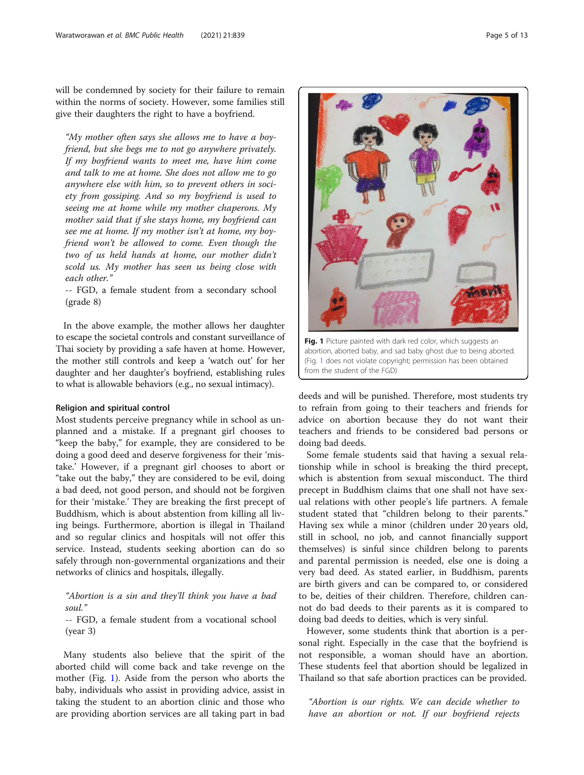will be condemned by society for their failure to remain within the norms of society. However, some families still give their daughters the right to have a boyfriend.

"My mother often says she allows me to have a boyfriend, but she begs me to not go anywhere privately. If my boyfriend wants to meet me, have him come and talk to me at home. She does not allow me to go anywhere else with him, so to prevent others in society from gossiping. And so my boyfriend is used to seeing me at home while my mother chaperons. My mother said that if she stays home, my boyfriend can see me at home. If my mother isn't at home, my boyfriend won't be allowed to come. Even though the two of us held hands at home, our mother didn't scold us. My mother has seen us being close with each other."

-- FGD, a female student from a secondary school (grade 8)

In the above example, the mother allows her daughter to escape the societal controls and constant surveillance of Thai society by providing a safe haven at home. However, the mother still controls and keep a 'watch out' for her daughter and her daughter's boyfriend, establishing rules to what is allowable behaviors (e.g., no sexual intimacy).

#### Religion and spiritual control

Most students perceive pregnancy while in school as unplanned and a mistake. If a pregnant girl chooses to "keep the baby," for example, they are considered to be doing a good deed and deserve forgiveness for their 'mistake.' However, if a pregnant girl chooses to abort or "take out the baby," they are considered to be evil, doing a bad deed, not good person, and should not be forgiven for their 'mistake.' They are breaking the first precept of Buddhism, which is about abstention from killing all living beings. Furthermore, abortion is illegal in Thailand and so regular clinics and hospitals will not offer this service. Instead, students seeking abortion can do so safely through non-governmental organizations and their networks of clinics and hospitals, illegally.

"Abortion is a sin and they'll think you have a bad soul."

-- FGD, a female student from a vocational school (year 3)

Many students also believe that the spirit of the aborted child will come back and take revenge on the mother (Fig. 1). Aside from the person who aborts the baby, individuals who assist in providing advice, assist in taking the student to an abortion clinic and those who are providing abortion services are all taking part in bad

Fig. 1 Picture painted with dark red color, which suggests an

abortion, aborted baby, and sad baby ghost due to being aborted. (Fig. 1 does not violate copyright; permission has been obtained from the student of the FGD)

deeds and will be punished. Therefore, most students try to refrain from going to their teachers and friends for advice on abortion because they do not want their teachers and friends to be considered bad persons or doing bad deeds.

Some female students said that having a sexual relationship while in school is breaking the third precept, which is abstention from sexual misconduct. The third precept in Buddhism claims that one shall not have sexual relations with other people's life partners. A female student stated that "children belong to their parents." Having sex while a minor (children under 20 years old, still in school, no job, and cannot financially support themselves) is sinful since children belong to parents and parental permission is needed, else one is doing a very bad deed. As stated earlier, in Buddhism, parents are birth givers and can be compared to, or considered to be, deities of their children. Therefore, children cannot do bad deeds to their parents as it is compared to doing bad deeds to deities, which is very sinful.

However, some students think that abortion is a personal right. Especially in the case that the boyfriend is not responsible, a woman should have an abortion. These students feel that abortion should be legalized in Thailand so that safe abortion practices can be provided.

"Abortion is our rights. We can decide whether to have an abortion or not. If our boyfriend rejects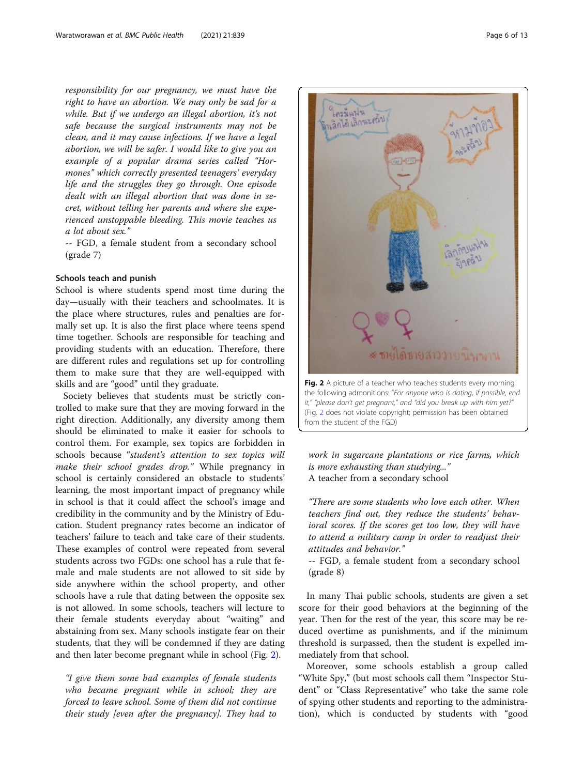responsibility for our pregnancy, we must have the right to have an abortion. We may only be sad for a while. But if we undergo an illegal abortion, it's not safe because the surgical instruments may not be clean, and it may cause infections. If we have a legal abortion, we will be safer. I would like to give you an example of a popular drama series called "Hormones" which correctly presented teenagers' everyday life and the struggles they go through. One episode dealt with an illegal abortion that was done in secret, without telling her parents and where she experienced unstoppable bleeding. This movie teaches us a lot about sex."

-- FGD, a female student from a secondary school (grade 7)

#### Schools teach and punish

School is where students spend most time during the day—usually with their teachers and schoolmates. It is the place where structures, rules and penalties are formally set up. It is also the first place where teens spend time together. Schools are responsible for teaching and providing students with an education. Therefore, there are different rules and regulations set up for controlling them to make sure that they are well-equipped with skills and are "good" until they graduate.

Society believes that students must be strictly controlled to make sure that they are moving forward in the right direction. Additionally, any diversity among them should be eliminated to make it easier for schools to control them. For example, sex topics are forbidden in schools because "student's attention to sex topics will make their school grades drop." While pregnancy in school is certainly considered an obstacle to students' learning, the most important impact of pregnancy while in school is that it could affect the school's image and credibility in the community and by the Ministry of Education. Student pregnancy rates become an indicator of teachers' failure to teach and take care of their students. These examples of control were repeated from several students across two FGDs: one school has a rule that female and male students are not allowed to sit side by side anywhere within the school property, and other schools have a rule that dating between the opposite sex is not allowed. In some schools, teachers will lecture to their female students everyday about "waiting" and abstaining from sex. Many schools instigate fear on their students, that they will be condemned if they are dating and then later become pregnant while in school (Fig. 2).

"I give them some bad examples of female students who became pregnant while in school; they are forced to leave school. Some of them did not continue their study [even after the pregnancy]. They had to



(Fig. 2 does not violate copyright; permission has been obtained from the student of the FGD)

work in sugarcane plantations or rice farms, which is more exhausting than studying..." A teacher from a secondary school

"There are some students who love each other. When teachers find out, they reduce the students' behavioral scores. If the scores get too low, they will have to attend a military camp in order to readjust their attitudes and behavior."

-- FGD, a female student from a secondary school (grade 8)

In many Thai public schools, students are given a set score for their good behaviors at the beginning of the year. Then for the rest of the year, this score may be reduced overtime as punishments, and if the minimum threshold is surpassed, then the student is expelled immediately from that school.

Moreover, some schools establish a group called "White Spy," (but most schools call them "Inspector Student" or "Class Representative" who take the same role of spying other students and reporting to the administration), which is conducted by students with "good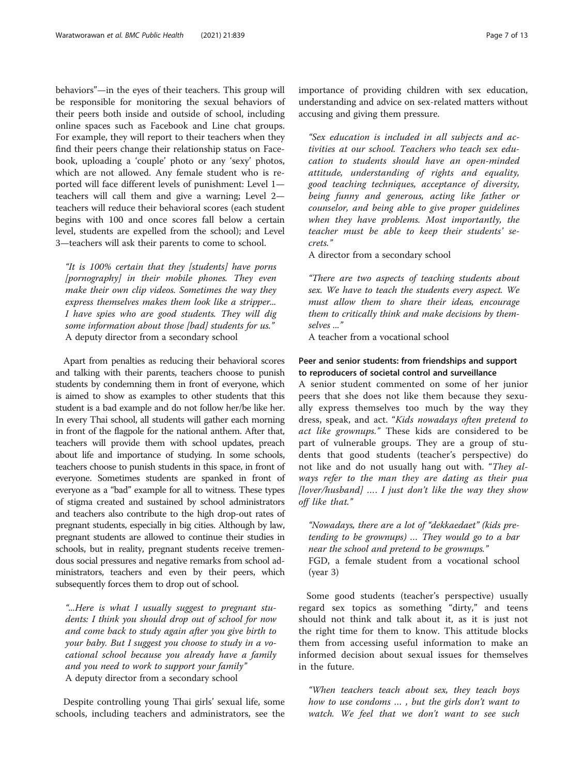behaviors"—in the eyes of their teachers. This group will be responsible for monitoring the sexual behaviors of their peers both inside and outside of school, including online spaces such as Facebook and Line chat groups. For example, they will report to their teachers when they find their peers change their relationship status on Facebook, uploading a 'couple' photo or any 'sexy' photos, which are not allowed. Any female student who is reported will face different levels of punishment: Level 1 teachers will call them and give a warning; Level 2 teachers will reduce their behavioral scores (each student begins with 100 and once scores fall below a certain level, students are expelled from the school); and Level 3—teachers will ask their parents to come to school.

"It is 100% certain that they [students] have porns [pornography] in their mobile phones. They even make their own clip videos. Sometimes the way they express themselves makes them look like a stripper... I have spies who are good students. They will dig some information about those [bad] students for us." A deputy director from a secondary school

Apart from penalties as reducing their behavioral scores and talking with their parents, teachers choose to punish students by condemning them in front of everyone, which is aimed to show as examples to other students that this student is a bad example and do not follow her/be like her. In every Thai school, all students will gather each morning in front of the flagpole for the national anthem. After that, teachers will provide them with school updates, preach about life and importance of studying. In some schools, teachers choose to punish students in this space, in front of everyone. Sometimes students are spanked in front of everyone as a "bad" example for all to witness. These types of stigma created and sustained by school administrators and teachers also contribute to the high drop-out rates of pregnant students, especially in big cities. Although by law, pregnant students are allowed to continue their studies in schools, but in reality, pregnant students receive tremendous social pressures and negative remarks from school administrators, teachers and even by their peers, which subsequently forces them to drop out of school.

"...Here is what I usually suggest to pregnant students: I think you should drop out of school for now and come back to study again after you give birth to your baby. But I suggest you choose to study in a vocational school because you already have a family and you need to work to support your family" A deputy director from a secondary school

Despite controlling young Thai girls' sexual life, some schools, including teachers and administrators, see the importance of providing children with sex education, understanding and advice on sex-related matters without accusing and giving them pressure.

"Sex education is included in all subjects and activities at our school. Teachers who teach sex education to students should have an open-minded attitude, understanding of rights and equality, good teaching techniques, acceptance of diversity, being funny and generous, acting like father or counselor, and being able to give proper guidelines when they have problems. Most importantly, the teacher must be able to keep their students' secrets."

A director from a secondary school

"There are two aspects of teaching students about sex. We have to teach the students every aspect. We must allow them to share their ideas, encourage them to critically think and make decisions by themselves ..."

A teacher from a vocational school

#### Peer and senior students: from friendships and support to reproducers of societal control and surveillance

A senior student commented on some of her junior peers that she does not like them because they sexually express themselves too much by the way they dress, speak, and act. "Kids nowadays often pretend to act like grownups." These kids are considered to be part of vulnerable groups. They are a group of students that good students (teacher's perspective) do not like and do not usually hang out with. "They always refer to the man they are dating as their pua  $[lower/hushand]$  .... I just don't like the way they show off like that."

"Nowadays, there are a lot of "dekkaedaet" (kids pretending to be grownups) … They would go to a bar near the school and pretend to be grownups." FGD, a female student from a vocational school (year 3)

Some good students (teacher's perspective) usually regard sex topics as something "dirty," and teens should not think and talk about it, as it is just not the right time for them to know. This attitude blocks them from accessing useful information to make an informed decision about sexual issues for themselves in the future.

"When teachers teach about sex, they teach boys how to use condoms … , but the girls don't want to watch. We feel that we don't want to see such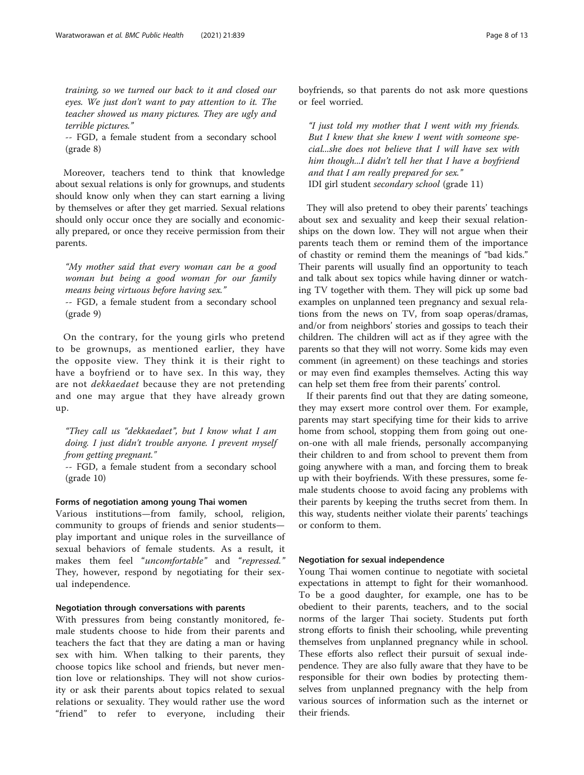training, so we turned our back to it and closed our eyes. We just don't want to pay attention to it. The teacher showed us many pictures. They are ugly and terrible pictures."

-- FGD, a female student from a secondary school (grade 8)

Moreover, teachers tend to think that knowledge about sexual relations is only for grownups, and students should know only when they can start earning a living by themselves or after they get married. Sexual relations should only occur once they are socially and economically prepared, or once they receive permission from their parents.

"My mother said that every woman can be a good woman but being a good woman for our family means being virtuous before having sex."

-- FGD, a female student from a secondary school (grade 9)

On the contrary, for the young girls who pretend to be grownups, as mentioned earlier, they have the opposite view. They think it is their right to have a boyfriend or to have sex. In this way, they are not *dekkaedaet* because they are not pretending and one may argue that they have already grown up.

"They call us "dekkaedaet", but I know what I am doing. I just didn't trouble anyone. I prevent myself from getting pregnant."

-- FGD, a female student from a secondary school (grade 10)

#### Forms of negotiation among young Thai women

Various institutions—from family, school, religion, community to groups of friends and senior students play important and unique roles in the surveillance of sexual behaviors of female students. As a result, it makes them feel "uncomfortable" and "repressed." They, however, respond by negotiating for their sexual independence.

#### Negotiation through conversations with parents

With pressures from being constantly monitored, female students choose to hide from their parents and teachers the fact that they are dating a man or having sex with him. When talking to their parents, they choose topics like school and friends, but never mention love or relationships. They will not show curiosity or ask their parents about topics related to sexual relations or sexuality. They would rather use the word "friend" to refer to everyone, including their boyfriends, so that parents do not ask more questions or feel worried.

"I just told my mother that I went with my friends. But I knew that she knew I went with someone special...she does not believe that I will have sex with him though...I didn't tell her that I have a boyfriend and that I am really prepared for sex." IDI girl student secondary school (grade 11)

They will also pretend to obey their parents' teachings about sex and sexuality and keep their sexual relationships on the down low. They will not argue when their parents teach them or remind them of the importance of chastity or remind them the meanings of "bad kids." Their parents will usually find an opportunity to teach and talk about sex topics while having dinner or watching TV together with them. They will pick up some bad examples on unplanned teen pregnancy and sexual relations from the news on TV, from soap operas/dramas, and/or from neighbors' stories and gossips to teach their children. The children will act as if they agree with the parents so that they will not worry. Some kids may even comment (in agreement) on these teachings and stories or may even find examples themselves. Acting this way can help set them free from their parents' control.

If their parents find out that they are dating someone, they may exsert more control over them. For example, parents may start specifying time for their kids to arrive home from school, stopping them from going out oneon-one with all male friends, personally accompanying their children to and from school to prevent them from going anywhere with a man, and forcing them to break up with their boyfriends. With these pressures, some female students choose to avoid facing any problems with their parents by keeping the truths secret from them. In this way, students neither violate their parents' teachings or conform to them.

#### Negotiation for sexual independence

Young Thai women continue to negotiate with societal expectations in attempt to fight for their womanhood. To be a good daughter, for example, one has to be obedient to their parents, teachers, and to the social norms of the larger Thai society. Students put forth strong efforts to finish their schooling, while preventing themselves from unplanned pregnancy while in school. These efforts also reflect their pursuit of sexual independence. They are also fully aware that they have to be responsible for their own bodies by protecting themselves from unplanned pregnancy with the help from various sources of information such as the internet or their friends.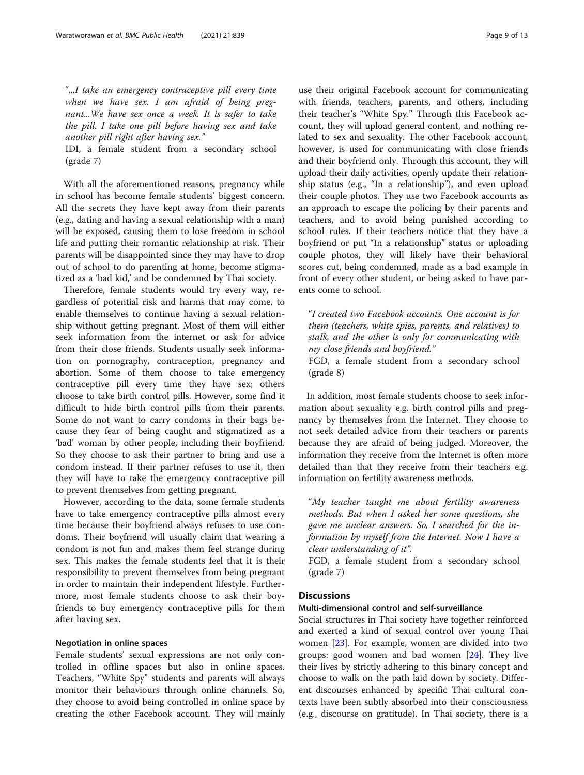"...I take an emergency contraceptive pill every time when we have sex. I am afraid of being pregnant...We have sex once a week. It is safer to take the pill. I take one pill before having sex and take another pill right after having sex."

IDI, a female student from a secondary school (grade 7)

With all the aforementioned reasons, pregnancy while in school has become female students' biggest concern. All the secrets they have kept away from their parents (e.g., dating and having a sexual relationship with a man) will be exposed, causing them to lose freedom in school life and putting their romantic relationship at risk. Their parents will be disappointed since they may have to drop out of school to do parenting at home, become stigmatized as a 'bad kid,' and be condemned by Thai society.

Therefore, female students would try every way, regardless of potential risk and harms that may come, to enable themselves to continue having a sexual relationship without getting pregnant. Most of them will either seek information from the internet or ask for advice from their close friends. Students usually seek information on pornography, contraception, pregnancy and abortion. Some of them choose to take emergency contraceptive pill every time they have sex; others choose to take birth control pills. However, some find it difficult to hide birth control pills from their parents. Some do not want to carry condoms in their bags because they fear of being caught and stigmatized as a 'bad' woman by other people, including their boyfriend. So they choose to ask their partner to bring and use a condom instead. If their partner refuses to use it, then they will have to take the emergency contraceptive pill to prevent themselves from getting pregnant.

However, according to the data, some female students have to take emergency contraceptive pills almost every time because their boyfriend always refuses to use condoms. Their boyfriend will usually claim that wearing a condom is not fun and makes them feel strange during sex. This makes the female students feel that it is their responsibility to prevent themselves from being pregnant in order to maintain their independent lifestyle. Furthermore, most female students choose to ask their boyfriends to buy emergency contraceptive pills for them after having sex.

#### Negotiation in online spaces

Female students' sexual expressions are not only controlled in offline spaces but also in online spaces. Teachers, "White Spy" students and parents will always monitor their behaviours through online channels. So, they choose to avoid being controlled in online space by creating the other Facebook account. They will mainly

use their original Facebook account for communicating with friends, teachers, parents, and others, including their teacher's "White Spy." Through this Facebook account, they will upload general content, and nothing related to sex and sexuality. The other Facebook account, however, is used for communicating with close friends and their boyfriend only. Through this account, they will upload their daily activities, openly update their relationship status (e.g., "In a relationship"), and even upload their couple photos. They use two Facebook accounts as an approach to escape the policing by their parents and teachers, and to avoid being punished according to school rules. If their teachers notice that they have a boyfriend or put "In a relationship" status or uploading couple photos, they will likely have their behavioral scores cut, being condemned, made as a bad example in front of every other student, or being asked to have parents come to school.

"I created two Facebook accounts. One account is for them (teachers, white spies, parents, and relatives) to stalk, and the other is only for communicating with my close friends and boyfriend."

FGD, a female student from a secondary school (grade 8)

In addition, most female students choose to seek information about sexuality e.g. birth control pills and pregnancy by themselves from the Internet. They choose to not seek detailed advice from their teachers or parents because they are afraid of being judged. Moreover, the information they receive from the Internet is often more detailed than that they receive from their teachers e.g. information on fertility awareness methods.

"My teacher taught me about fertility awareness methods. But when I asked her some questions, she gave me unclear answers. So, I searched for the information by myself from the Internet. Now I have a clear understanding of it".

FGD, a female student from a secondary school (grade 7)

#### **Discussions**

#### Multi-dimensional control and self-surveillance

Social structures in Thai society have together reinforced and exerted a kind of sexual control over young Thai women [[23\]](#page-11-0). For example, women are divided into two groups: good women and bad women [\[24](#page-11-0)]. They live their lives by strictly adhering to this binary concept and choose to walk on the path laid down by society. Different discourses enhanced by specific Thai cultural contexts have been subtly absorbed into their consciousness (e.g., discourse on gratitude). In Thai society, there is a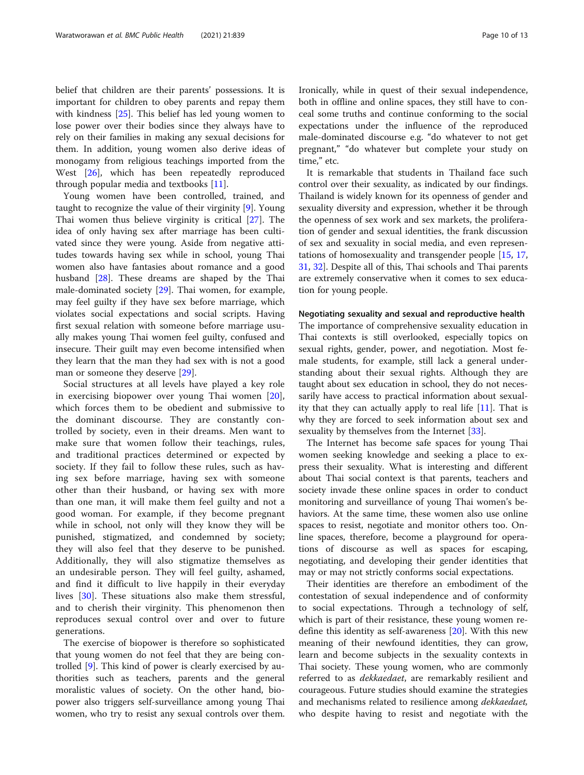belief that children are their parents' possessions. It is important for children to obey parents and repay them with kindness [[25](#page-11-0)]. This belief has led young women to lose power over their bodies since they always have to rely on their families in making any sexual decisions for them. In addition, young women also derive ideas of monogamy from religious teachings imported from the West [\[26](#page-12-0)], which has been repeatedly reproduced through popular media and textbooks [\[11\]](#page-11-0).

Young women have been controlled, trained, and taught to recognize the value of their virginity [[9\]](#page-11-0). Young Thai women thus believe virginity is critical [\[27](#page-12-0)]. The idea of only having sex after marriage has been cultivated since they were young. Aside from negative attitudes towards having sex while in school, young Thai women also have fantasies about romance and a good husband [\[28\]](#page-12-0). These dreams are shaped by the Thai male-dominated society [[29\]](#page-12-0). Thai women, for example, may feel guilty if they have sex before marriage, which violates social expectations and social scripts. Having first sexual relation with someone before marriage usually makes young Thai women feel guilty, confused and insecure. Their guilt may even become intensified when they learn that the man they had sex with is not a good man or someone they deserve [\[29](#page-12-0)].

Social structures at all levels have played a key role in exercising biopower over young Thai women [\[20](#page-11-0)], which forces them to be obedient and submissive to the dominant discourse. They are constantly controlled by society, even in their dreams. Men want to make sure that women follow their teachings, rules, and traditional practices determined or expected by society. If they fail to follow these rules, such as having sex before marriage, having sex with someone other than their husband, or having sex with more than one man, it will make them feel guilty and not a good woman. For example, if they become pregnant while in school, not only will they know they will be punished, stigmatized, and condemned by society; they will also feel that they deserve to be punished. Additionally, they will also stigmatize themselves as an undesirable person. They will feel guilty, ashamed, and find it difficult to live happily in their everyday lives [\[30](#page-12-0)]. These situations also make them stressful, and to cherish their virginity. This phenomenon then reproduces sexual control over and over to future generations.

The exercise of biopower is therefore so sophisticated that young women do not feel that they are being controlled [[9\]](#page-11-0). This kind of power is clearly exercised by authorities such as teachers, parents and the general moralistic values of society. On the other hand, biopower also triggers self-surveillance among young Thai women, who try to resist any sexual controls over them. Ironically, while in quest of their sexual independence, both in offline and online spaces, they still have to conceal some truths and continue conforming to the social expectations under the influence of the reproduced male-dominated discourse e.g. "do whatever to not get pregnant," "do whatever but complete your study on time," etc.

It is remarkable that students in Thailand face such control over their sexuality, as indicated by our findings. Thailand is widely known for its openness of gender and sexuality diversity and expression, whether it be through the openness of sex work and sex markets, the proliferation of gender and sexual identities, the frank discussion of sex and sexuality in social media, and even representations of homosexuality and transgender people [[15](#page-11-0), [17](#page-11-0), [31,](#page-12-0) [32](#page-12-0)]. Despite all of this, Thai schools and Thai parents are extremely conservative when it comes to sex education for young people.

#### Negotiating sexuality and sexual and reproductive health

The importance of comprehensive sexuality education in Thai contexts is still overlooked, especially topics on sexual rights, gender, power, and negotiation. Most female students, for example, still lack a general understanding about their sexual rights. Although they are taught about sex education in school, they do not necessarily have access to practical information about sexuality that they can actually apply to real life  $[11]$  $[11]$ . That is why they are forced to seek information about sex and sexuality by themselves from the Internet [[33](#page-12-0)].

The Internet has become safe spaces for young Thai women seeking knowledge and seeking a place to express their sexuality. What is interesting and different about Thai social context is that parents, teachers and society invade these online spaces in order to conduct monitoring and surveillance of young Thai women's behaviors. At the same time, these women also use online spaces to resist, negotiate and monitor others too. Online spaces, therefore, become a playground for operations of discourse as well as spaces for escaping, negotiating, and developing their gender identities that may or may not strictly conforms social expectations.

Their identities are therefore an embodiment of the contestation of sexual independence and of conformity to social expectations. Through a technology of self, which is part of their resistance, these young women redefine this identity as self-awareness [\[20](#page-11-0)]. With this new meaning of their newfound identities, they can grow, learn and become subjects in the sexuality contexts in Thai society. These young women, who are commonly referred to as *dekkaedaet*, are remarkably resilient and courageous. Future studies should examine the strategies and mechanisms related to resilience among *dekkaedaet*, who despite having to resist and negotiate with the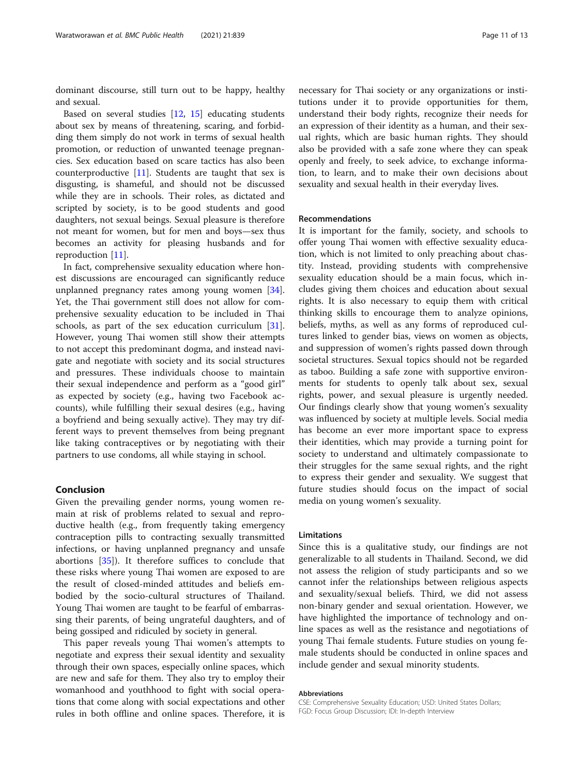dominant discourse, still turn out to be happy, healthy and sexual.

Based on several studies [\[12](#page-11-0), [15\]](#page-11-0) educating students about sex by means of threatening, scaring, and forbidding them simply do not work in terms of sexual health promotion, or reduction of unwanted teenage pregnancies. Sex education based on scare tactics has also been counterproductive [\[11](#page-11-0)]. Students are taught that sex is disgusting, is shameful, and should not be discussed while they are in schools. Their roles, as dictated and scripted by society, is to be good students and good daughters, not sexual beings. Sexual pleasure is therefore not meant for women, but for men and boys—sex thus becomes an activity for pleasing husbands and for reproduction [\[11\]](#page-11-0).

In fact, comprehensive sexuality education where honest discussions are encouraged can significantly reduce unplanned pregnancy rates among young women [\[34](#page-12-0)]. Yet, the Thai government still does not allow for comprehensive sexuality education to be included in Thai schools, as part of the sex education curriculum [\[31](#page-12-0)]. However, young Thai women still show their attempts to not accept this predominant dogma, and instead navigate and negotiate with society and its social structures and pressures. These individuals choose to maintain their sexual independence and perform as a "good girl" as expected by society (e.g., having two Facebook accounts), while fulfilling their sexual desires (e.g., having a boyfriend and being sexually active). They may try different ways to prevent themselves from being pregnant like taking contraceptives or by negotiating with their partners to use condoms, all while staying in school.

#### Conclusion

Given the prevailing gender norms, young women remain at risk of problems related to sexual and reproductive health (e.g., from frequently taking emergency contraception pills to contracting sexually transmitted infections, or having unplanned pregnancy and unsafe abortions [[35\]](#page-12-0)). It therefore suffices to conclude that these risks where young Thai women are exposed to are the result of closed-minded attitudes and beliefs embodied by the socio-cultural structures of Thailand. Young Thai women are taught to be fearful of embarrassing their parents, of being ungrateful daughters, and of being gossiped and ridiculed by society in general.

This paper reveals young Thai women's attempts to negotiate and express their sexual identity and sexuality through their own spaces, especially online spaces, which are new and safe for them. They also try to employ their womanhood and youthhood to fight with social operations that come along with social expectations and other rules in both offline and online spaces. Therefore, it is

necessary for Thai society or any organizations or institutions under it to provide opportunities for them, understand their body rights, recognize their needs for an expression of their identity as a human, and their sexual rights, which are basic human rights. They should also be provided with a safe zone where they can speak openly and freely, to seek advice, to exchange information, to learn, and to make their own decisions about sexuality and sexual health in their everyday lives.

#### Recommendations

It is important for the family, society, and schools to offer young Thai women with effective sexuality education, which is not limited to only preaching about chastity. Instead, providing students with comprehensive sexuality education should be a main focus, which includes giving them choices and education about sexual rights. It is also necessary to equip them with critical thinking skills to encourage them to analyze opinions, beliefs, myths, as well as any forms of reproduced cultures linked to gender bias, views on women as objects, and suppression of women's rights passed down through societal structures. Sexual topics should not be regarded as taboo. Building a safe zone with supportive environments for students to openly talk about sex, sexual rights, power, and sexual pleasure is urgently needed. Our findings clearly show that young women's sexuality was influenced by society at multiple levels. Social media has become an ever more important space to express their identities, which may provide a turning point for society to understand and ultimately compassionate to their struggles for the same sexual rights, and the right to express their gender and sexuality. We suggest that future studies should focus on the impact of social media on young women's sexuality.

#### Limitations

Since this is a qualitative study, our findings are not generalizable to all students in Thailand. Second, we did not assess the religion of study participants and so we cannot infer the relationships between religious aspects and sexuality/sexual beliefs. Third, we did not assess non-binary gender and sexual orientation. However, we have highlighted the importance of technology and online spaces as well as the resistance and negotiations of young Thai female students. Future studies on young female students should be conducted in online spaces and include gender and sexual minority students.

#### Abbreviations

CSE: Comprehensive Sexuality Education; USD: United States Dollars; FGD: Focus Group Discussion; IDI: In-depth Interview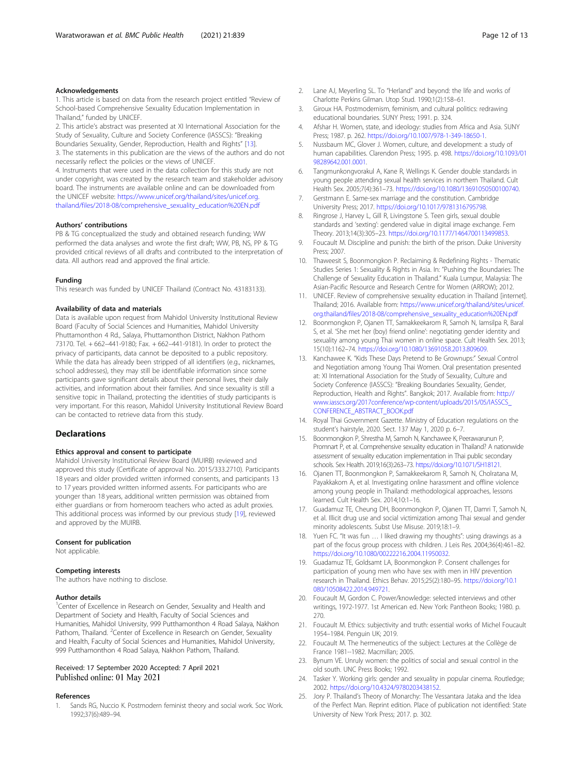#### <span id="page-11-0"></span>Acknowledgements

1. This article is based on data from the research project entitled "Review of School-based Comprehensive Sexuality Education Implementation in Thailand," funded by UNICEF.

2. This article's abstract was presented at XI International Association for the Study of Sexuality, Culture and Society Conference (IASSCS): "Breaking Boundaries Sexuality, Gender, Reproduction, Health and Rights" [13].

3. The statements in this publication are the views of the authors and do not necessarily reflect the policies or the views of UNICEF.

4. Instruments that were used in the data collection for this study are not under copyright, was created by the research team and stakeholder advisory board. The instruments are available online and can be downloaded from the UNICEF website: [https://www.unicef.org/thailand/sites/unicef.org.](https://www.unicef.org/thailand/sites/unicef.org.thailand/files/2018-08/comprehensive_sexuality_education%20EN.pdf) [thailand/files/2018-08/comprehensive\\_sexuality\\_education%20EN.pdf](https://www.unicef.org/thailand/sites/unicef.org.thailand/files/2018-08/comprehensive_sexuality_education%20EN.pdf)

#### Authors' contributions

PB & TG conceptualized the study and obtained research funding; WW performed the data analyses and wrote the first draft; WW, PB, NS, PP & TG provided critical reviews of all drafts and contributed to the interpretation of data. All authors read and approved the final article.

#### Funding

This research was funded by UNICEF Thailand (Contract No. 43183133).

#### Availability of data and materials

Data is available upon request from Mahidol University Institutional Review Board (Faculty of Social Sciences and Humanities, Mahidol University Phuttamonthon 4 Rd., Salaya, Phuttamonthon District, Nakhon Pathom 73170. Tel. + 662–441-9180; Fax. + 662–441-9181). In order to protect the privacy of participants, data cannot be deposited to a public repository. While the data has already been stripped of all identifiers (e.g., nicknames, school addresses), they may still be identifiable information since some participants gave significant details about their personal lives, their daily activities, and information about their families. And since sexuality is still a sensitive topic in Thailand, protecting the identities of study participants is very important. For this reason, Mahidol University Institutional Review Board can be contacted to retrieve data from this study.

#### **Declarations**

#### Ethics approval and consent to participate

Mahidol University Institutional Review Board (MUIRB) reviewed and approved this study (Certificate of approval No. 2015/333.2710). Participants 18 years and older provided written informed consents, and participants 13 to 17 years provided written informed assents. For participants who are younger than 18 years, additional written permission was obtained from either guardians or from homeroom teachers who acted as adult proxies. This additional process was informed by our previous study [19], reviewed and approved by the MUIRB.

#### Consent for publication

Not applicable.

#### Competing interests

The authors have nothing to disclose.

#### Author details

<sup>1</sup>Center of Excellence in Research on Gender, Sexuality and Health and Department of Society and Health, Faculty of Social Sciences and Humanities, Mahidol University, 999 Putthamonthon 4 Road Salaya, Nakhon Pathom, Thailand. <sup>2</sup>Center of Excellence in Research on Gender, Sexuality and Health, Faculty of Social Sciences and Humanities, Mahidol University, 999 Putthamonthon 4 Road Salaya, Nakhon Pathom, Thailand.

#### Received: 17 September 2020 Accepted: 7 April 2021 Published online: 01 May 2021

#### References

1. Sands RG, Nuccio K. Postmodern feminist theory and social work. Soc Work. 1992;37(6):489–94.

- 2. Lane AJ, Meyerling SL. To "Herland" and beyond: the life and works of Charlotte Perkins Gilman. Utop Stud. 1990;1(2):158–61.
- 3. Giroux HA. Postmodernism, feminism, and cultural politics: redrawing educational boundaries. SUNY Press; 1991. p. 324.
- 4. Afshar H. Women, state, and ideology: studies from Africa and Asia. SUNY Press; 1987. p. 262. [https://doi.org/10.1007/978-1-349-18650-1.](https://doi.org/10.1007/978-1-349-18650-1)
- 5. Nussbaum MC, Glover J. Women, culture, and development: a study of human capabilities. Clarendon Press; 1995. p. 498. [https://doi.org/10.1093/01](https://doi.org/10.1093/0198289642.001.0001) [98289642.001.0001](https://doi.org/10.1093/0198289642.001.0001).
- 6. Tangmunkongvorakul A, Kane R, Wellings K. Gender double standards in young people attending sexual health services in northern Thailand. Cult Health Sex. 2005;7(4):361–73. <https://doi.org/10.1080/13691050500100740>.
- 7. Gerstmann E. Same-sex marriage and the constitution. Cambridge University Press; 2017. [https://doi.org/10.1017/9781316795798.](https://doi.org/10.1017/9781316795798)
- 8. Ringrose J, Harvey L, Gill R, Livingstone S. Teen girls, sexual double standards and 'sexting': gendered value in digital image exchange. Fem Theory. 2013;14(3):305–23. <https://doi.org/10.1177/1464700113499853>.
- 9. Foucault M. Discipline and punish: the birth of the prison. Duke University Press; 2007.
- 10. Thaweesit S, Boonmongkon P. Reclaiming & Redefining Rights Thematic Studies Series 1: Sexuality & Rights in Asia. In: "Pushing the Boundaries: The Challenge of Sexuality Education in Thailand." Kuala Lumpur, Malaysia: The Asian-Pacific Resource and Research Centre for Women (ARROW); 2012.
- 11. UNICEF. Review of comprehensive sexuality education in Thailand [internet]. Thailand; 2016. Available from: [https://www.unicef.org/thailand/sites/unicef.](https://www.unicef.org/thailand/sites/unicef.org.thailand/files/2018-08/comprehensive_sexuality_education%20EN.pdf) [org.thailand/files/2018-08/comprehensive\\_sexuality\\_education%20EN.pdf](https://www.unicef.org/thailand/sites/unicef.org.thailand/files/2018-08/comprehensive_sexuality_education%20EN.pdf)
- 12. Boonmongkon P, Ojanen TT, Samakkeekarom R, Samoh N, Iamsilpa R, Baral S, et al. 'She met her (boy) friend online': negotiating gender identity and sexuality among young Thai women in online space. Cult Health Sex. 2013; 15(10):1162–74. [https://doi.org/10.1080/13691058.2013.809609.](https://doi.org/10.1080/13691058.2013.809609)
- 13. Kanchawee K. "Kids These Days Pretend to Be Grownups:" Sexual Control and Negotiation among Young Thai Women. Oral presentation presented at: XI International Association for the Study of Sexuality, Culture and Society Conference (IASSCS): "Breaking Boundaries Sexuality, Gender, Reproduction, Health and Rights". Bangkok; 2017. Available from: [http://](http://www.iasscs.org/2017conference/wp-content/uploads/2015/05/IASSCS_CONFERENCE_ABSTRACT_BOOK.pdf) [www.iasscs.org/2017conference/wp-content/uploads/2015/05/IASSCS\\_](http://www.iasscs.org/2017conference/wp-content/uploads/2015/05/IASSCS_CONFERENCE_ABSTRACT_BOOK.pdf) [CONFERENCE\\_ABSTRACT\\_BOOK.pdf](http://www.iasscs.org/2017conference/wp-content/uploads/2015/05/IASSCS_CONFERENCE_ABSTRACT_BOOK.pdf)
- 14. Royal Thai Government Gazette. Ministry of Education regulations on the student's hairstyle, 2020. Sect. 137 May 1, 2020 p. 6–7.
- 15. Boonmongkon P, Shrestha M, Samoh N, Kanchawee K, Peerawarunun P, Promnart P, et al. Comprehensive sexuality education in Thailand? A nationwide assessment of sexuality education implementation in Thai public secondary schools. Sex Health. 2019;16(3):263–73. <https://doi.org/10.1071/SH18121>.
- 16. Ojanen TT, Boonmongkon P, Samakkeekarom R, Samoh N, Cholratana M, Payakkakom A, et al. Investigating online harassment and offline violence among young people in Thailand: methodological approaches, lessons learned. Cult Health Sex. 2014;10:1–16.
- 17. Guadamuz TE, Cheung DH, Boonmongkon P, Ojanen TT, Damri T, Samoh N, et al. Illicit drug use and social victimization among Thai sexual and gender minority adolescents. Subst Use Misuse. 2019;18:1–9.
- 18. Yuen FC. "It was fun … I liked drawing my thoughts": using drawings as a part of the focus group process with children. J Leis Res. 2004;36(4):461–82. [https://doi.org/10.1080/00222216.2004.11950032.](https://doi.org/10.1080/00222216.2004.11950032)
- 19. Guadamuz TE, Goldsamt LA, Boonmongkon P. Consent challenges for participation of young men who have sex with men in HIV prevention research in Thailand. Ethics Behav. 2015;25(2):180–95. [https://doi.org/10.1](https://doi.org/10.1080/10508422.2014.949721) [080/10508422.2014.949721](https://doi.org/10.1080/10508422.2014.949721).
- 20. Foucault M, Gordon C. Power/knowledge: selected interviews and other writings, 1972-1977. 1st American ed. New York: Pantheon Books; 1980. p. 270.
- 21. Foucault M. Ethics: subjectivity and truth: essential works of Michel Foucault 1954–1984. Penguin UK; 2019.
- 22. Foucault M. The hermeneutics of the subject: Lectures at the Collège de France 1981--1982. Macmillan; 2005.
- 23. Bynum VE. Unruly women: the politics of social and sexual control in the old south. UNC Press Books; 1992.
- 24. Tasker Y. Working girls: gender and sexuality in popular cinema. Routledge; 2002. <https://doi.org/10.4324/9780203438152>.
- 25. Jory P. Thailand's Theory of Monarchy: The Vessantara Jataka and the Idea of the Perfect Man. Reprint edition. Place of publication not identified: State University of New York Press; 2017. p. 302.